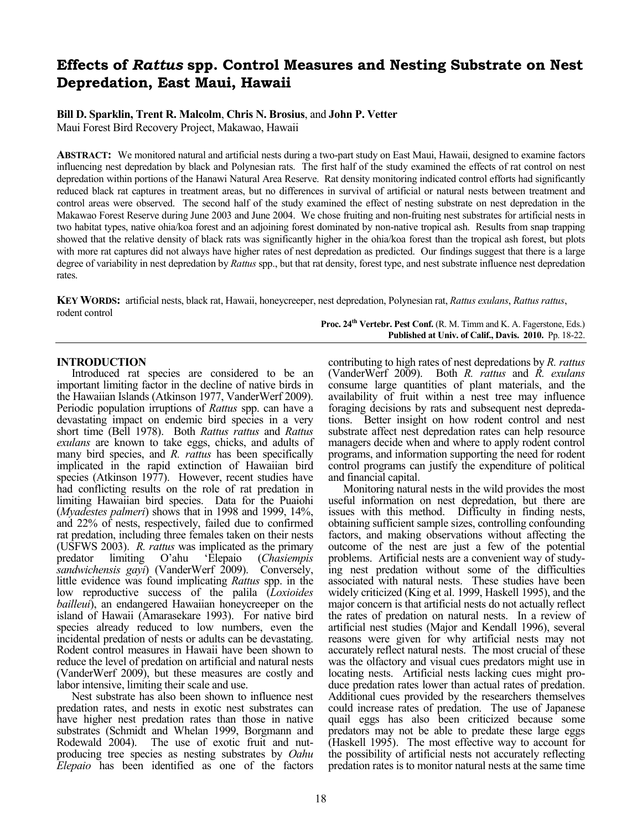# **Effects of** *Rattus* **spp. Control Measures and Nesting Substrate on Nest Depredation, East Maui, Hawaii**

## **Bill D. Sparklin, Trent R. Malcolm**, **Chris N. Brosius**, and **John P. Vetter**

Maui Forest Bird Recovery Project, Makawao, Hawaii

**ABSTRACT:** We monitored natural and artificial nests during a two-part study on East Maui, Hawaii, designed to examine factors influencing nest depredation by black and Polynesian rats. The first half of the study examined the effects of rat control on nest depredation within portions of the Hanawi Natural Area Reserve. Rat density monitoring indicated control efforts had significantly reduced black rat captures in treatment areas, but no differences in survival of artificial or natural nests between treatment and control areas were observed. The second half of the study examined the effect of nesting substrate on nest depredation in the Makawao Forest Reserve during June 2003 and June 2004. We chose fruiting and non-fruiting nest substrates for artificial nests in two habitat types, native ohia/koa forest and an adjoining forest dominated by non-native tropical ash. Results from snap trapping showed that the relative density of black rats was significantly higher in the ohia/koa forest than the tropical ash forest, but plots with more rat captures did not always have higher rates of nest depredation as predicted. Our findings suggest that there is a large degree of variability in nest depredation by *Rattus* spp., but that rat density, forest type, and nest substrate influence nest depredation rates.

**KEY WORDS:** artificial nests, black rat, Hawaii, honeycreeper, nest depredation, Polynesian rat, *Rattus exulans*, *Rattus rattus*, rodent control **Proc. 24th Vertebr. Pest Conf.** (R. M. Timm and K. A. Fagerstone, Eds.)

## **INTRODUCTION**

Introduced rat species are considered to be an important limiting factor in the decline of native birds in the Hawaiian Islands (Atkinson 1977, VanderWerf 2009). Periodic population irruptions of *Rattus* spp. can have a devastating impact on endemic bird species in a very short time (Bell 1978). Both *Rattus rattus* and *Rattus exulans* are known to take eggs, chicks, and adults of many bird species, and *R. rattus* has been specifically implicated in the rapid extinction of Hawaiian bird species (Atkinson 1977). However, recent studies have had conflicting results on the role of rat predation in limiting Hawaiian bird species. Data for the Puaiohi (*Myadestes palmeri*) shows that in 1998 and 1999, 14%, and 22% of nests, respectively, failed due to confirmed rat predation, including three females taken on their nests (USFWS 2003). *R. rattus* was implicated as the primary predator limiting O'ahu 'Elepaio (*Chasiempis sandwichensis gayi*) (VanderWerf 2009). Conversely, little evidence was found implicating *Rattus* spp. in the low reproductive success of the palila (*Loxioides bailleui*), an endangered Hawaiian honeycreeper on the island of Hawaii (Amarasekare 1993). For native bird species already reduced to low numbers, even the incidental predation of nests or adults can be devastating. Rodent control measures in Hawaii have been shown to reduce the level of predation on artificial and natural nests (VanderWerf 2009), but these measures are costly and labor intensive, limiting their scale and use.

Nest substrate has also been shown to influence nest predation rates, and nests in exotic nest substrates can have higher nest predation rates than those in native substrates (Schmidt and Whelan 1999, Borgmann and Rodewald 2004). The use of exotic fruit and nutproducing tree species as nesting substrates by *Oahu Elepaio* has been identified as one of the factors contributing to high rates of nest depredations by *R. rattus* (VanderWerf 2009). Both *R. rattus* and *R. exulans* consume large quantities of plant materials, and the availability of fruit within a nest tree may influence foraging decisions by rats and subsequent nest depredations. Better insight on how rodent control and nest substrate affect nest depredation rates can help resource managers decide when and where to apply rodent control programs, and information supporting the need for rodent control programs can justify the expenditure of political and financial capital.

**Published at Univ. of Calif., Davis. 2010.** Pp. 18-22.

Monitoring natural nests in the wild provides the most useful information on nest depredation, but there are issues with this method. Difficulty in finding nests, obtaining sufficient sample sizes, controlling confounding factors, and making observations without affecting the outcome of the nest are just a few of the potential problems. Artificial nests are a convenient way of studying nest predation without some of the difficulties associated with natural nests. These studies have been widely criticized (King et al. 1999, Haskell 1995), and the major concern is that artificial nests do not actually reflect the rates of predation on natural nests. In a review of artificial nest studies (Major and Kendall 1996), several reasons were given for why artificial nests may not accurately reflect natural nests. The most crucial of these was the olfactory and visual cues predators might use in locating nests. Artificial nests lacking cues might produce predation rates lower than actual rates of predation. Additional cues provided by the researchers themselves could increase rates of predation. The use of Japanese quail eggs has also been criticized because some predators may not be able to predate these large eggs (Haskell 1995). The most effective way to account for the possibility of artificial nests not accurately reflecting predation rates is to monitor natural nests at the same time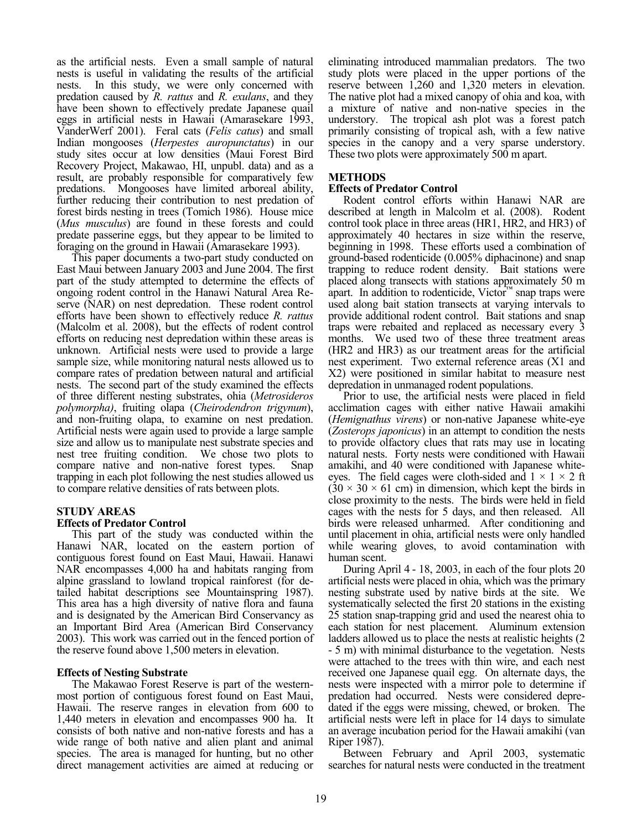as the artificial nests. Even a small sample of natural nests is useful in validating the results of the artificial nests. In this study, we were only concerned with predation caused by *R. rattus* and *R. exulans*, and they have been shown to effectively predate Japanese quail eggs in artificial nests in Hawaii (Amarasekare 1993, VanderWerf 2001). Feral cats (*Felis catus*) and small Indian mongooses (*Herpestes auropunctatus*) in our study sites occur at low densities (Maui Forest Bird Recovery Project, Makawao, HI, unpubl. data) and as a result, are probably responsible for comparatively few predations. Mongooses have limited arboreal ability, further reducing their contribution to nest predation of forest birds nesting in trees (Tomich 1986). House mice (*Mus musculus*) are found in these forests and could predate passerine eggs, but they appear to be limited to foraging on the ground in Hawaii (Amarasekare 1993).

This paper documents a two-part study conducted on East Maui between January 2003 and June 2004. The first part of the study attempted to determine the effects of ongoing rodent control in the Hanawi Natural Area Reserve (NAR) on nest depredation. These rodent control efforts have been shown to effectively reduce *R. rattus* (Malcolm et al. 2008), but the effects of rodent control efforts on reducing nest depredation within these areas is unknown. Artificial nests were used to provide a large sample size, while monitoring natural nests allowed us to compare rates of predation between natural and artificial nests. The second part of the study examined the effects of three different nesting substrates, ohia (*Metrosideros polymorpha)*, fruiting olapa (*Cheirodendron trigynum*), and non-fruiting olapa, to examine on nest predation. Artificial nests were again used to provide a large sample size and allow us to manipulate nest substrate species and nest tree fruiting condition. We chose two plots to compare native and non-native forest types. Snap trapping in each plot following the nest studies allowed us to compare relative densities of rats between plots.

## **STUDY AREAS**

## **Effects of Predator Control**

This part of the study was conducted within the Hanawi NAR, located on the eastern portion of contiguous forest found on East Maui, Hawaii. Hanawi NAR encompasses 4,000 ha and habitats ranging from alpine grassland to lowland tropical rainforest (for detailed habitat descriptions see Mountainspring 1987). This area has a high diversity of native flora and fauna and is designated by the American Bird Conservancy as an Important Bird Area (American Bird Conservancy 2003). This work was carried out in the fenced portion of the reserve found above 1,500 meters in elevation.

## **Effects of Nesting Substrate**

The Makawao Forest Reserve is part of the westernmost portion of contiguous forest found on East Maui, Hawaii. The reserve ranges in elevation from 600 to 1,440 meters in elevation and encompasses 900 ha. It consists of both native and non-native forests and has a wide range of both native and alien plant and animal species. The area is managed for hunting, but no other direct management activities are aimed at reducing or eliminating introduced mammalian predators. The two study plots were placed in the upper portions of the reserve between 1,260 and 1,320 meters in elevation. The native plot had a mixed canopy of ohia and koa, with a mixture of native and non-native species in the understory. The tropical ash plot was a forest patch primarily consisting of tropical ash, with a few native species in the canopy and a very sparse understory. These two plots were approximately 500 m apart.

## **METHODS**

## **Effects of Predator Control**

Rodent control efforts within Hanawi NAR are described at length in Malcolm et al. (2008). Rodent control took place in three areas (HR1, HR2, and HR3) of approximately 40 hectares in size within the reserve, beginning in 1998. These efforts used a combination of ground-based rodenticide (0.005% diphacinone) and snap trapping to reduce rodent density. Bait stations were placed along transects with stations approximately 50 m apart. In addition to rodenticide, Victor™ snap traps were used along bait station transects at varying intervals to provide additional rodent control. Bait stations and snap traps were rebaited and replaced as necessary every 3 months. We used two of these three treatment areas (HR2 and HR3) as our treatment areas for the artificial nest experiment. Two external reference areas (X1 and X2) were positioned in similar habitat to measure nest depredation in unmanaged rodent populations.

Prior to use, the artificial nests were placed in field acclimation cages with either native Hawaii amakihi (*Hemignathus virens*) or non-native Japanese white-eye (*Zosterops japonicus*) in an attempt to condition the nests to provide olfactory clues that rats may use in locating natural nests. Forty nests were conditioned with Hawaii amakihi, and 40 were conditioned with Japanese whiteeyes. The field cages were cloth-sided and  $1 \times 1 \times 2$  ft  $(30 \times 30 \times 61$  cm) in dimension, which kept the birds in close proximity to the nests. The birds were held in field cages with the nests for 5 days, and then released. All birds were released unharmed. After conditioning and until placement in ohia, artificial nests were only handled while wearing gloves, to avoid contamination with human scent.

During April 4 - 18, 2003, in each of the four plots 20 artificial nests were placed in ohia, which was the primary nesting substrate used by native birds at the site. We systematically selected the first 20 stations in the existing 25 station snap-trapping grid and used the nearest ohia to each station for nest placement. Aluminum extension ladders allowed us to place the nests at realistic heights (2) - 5 m) with minimal disturbance to the vegetation. Nests were attached to the trees with thin wire, and each nest received one Japanese quail egg. On alternate days, the nests were inspected with a mirror pole to determine if predation had occurred. Nests were considered depredated if the eggs were missing, chewed, or broken. The artificial nests were left in place for 14 days to simulate an average incubation period for the Hawaii amakihi (van Riper 1987).

Between February and April 2003, systematic searches for natural nests were conducted in the treatment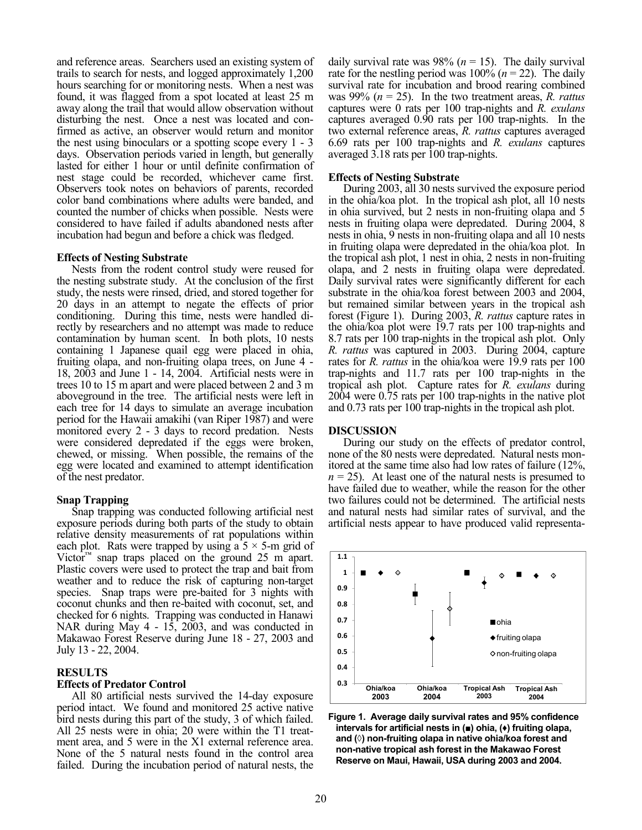and reference areas. Searchers used an existing system of trails to search for nests, and logged approximately 1,200 hours searching for or monitoring nests. When a nest was found, it was flagged from a spot located at least 25 m away along the trail that would allow observation without disturbing the nest. Once a nest was located and confirmed as active, an observer would return and monitor the nest using binoculars or a spotting scope every 1 - 3 days. Observation periods varied in length, but generally lasted for either 1 hour or until definite confirmation of nest stage could be recorded, whichever came first. Observers took notes on behaviors of parents, recorded color band combinations where adults were banded, and counted the number of chicks when possible. Nests were considered to have failed if adults abandoned nests after incubation had begun and before a chick was fledged.

#### **Effects of Nesting Substrate**

Nests from the rodent control study were reused for the nesting substrate study. At the conclusion of the first study, the nests were rinsed, dried, and stored together for 20 days in an attempt to negate the effects of prior conditioning. During this time, nests were handled directly by researchers and no attempt was made to reduce contamination by human scent. In both plots, 10 nests containing 1 Japanese quail egg were placed in ohia, fruiting olapa, and non-fruiting olapa trees, on June 4 - 18, 2003 and June 1 - 14, 2004. Artificial nests were in trees 10 to 15 m apart and were placed between 2 and 3 m aboveground in the tree. The artificial nests were left in each tree for 14 days to simulate an average incubation period for the Hawaii amakihi (van Riper 1987) and were monitored every 2 - 3 days to record predation. Nests were considered depredated if the eggs were broken, chewed, or missing. When possible, the remains of the egg were located and examined to attempt identification of the nest predator.

#### **Snap Trapping**

Snap trapping was conducted following artificial nest exposure periods during both parts of the study to obtain relative density measurements of rat populations within each plot. Rats were trapped by using a  $5 \times 5$ -m grid of Victor<sup>™</sup> snap traps placed on the ground 25 m apart. Plastic covers were used to protect the trap and bait from weather and to reduce the risk of capturing non-target species. Snap traps were pre-baited for 3 nights with coconut chunks and then re-baited with coconut, set, and checked for 6 nights. Trapping was conducted in Hanawi NAR during May 4 - 15, 2003, and was conducted in Makawao Forest Reserve during June 18 - 27, 2003 and July 13 - 22, 2004.

## **RESULTS**

#### **Effects of Predator Control**

All 80 artificial nests survived the 14-day exposure period intact. We found and monitored 25 active native bird nests during this part of the study, 3 of which failed. All 25 nests were in ohia; 20 were within the T1 treatment area, and 5 were in the X1 external reference area. None of the 5 natural nests found in the control area failed. During the incubation period of natural nests, the daily survival rate was 98% ( $n = 15$ ). The daily survival rate for the nestling period was  $100\%$  ( $n = 22$ ). The daily survival rate for incubation and brood rearing combined was 99% (*n* = 25). In the two treatment areas, *R. rattus* captures were 0 rats per 100 trap-nights and *R. exulans* captures averaged 0.90 rats per 100 trap-nights. In the two external reference areas, *R. rattus* captures averaged 6.69 rats per 100 trap-nights and *R. exulans* captures averaged 3.18 rats per 100 trap-nights.

#### **Effects of Nesting Substrate**

During 2003, all 30 nests survived the exposure period in the ohia/koa plot. In the tropical ash plot, all 10 nests in ohia survived, but 2 nests in non-fruiting olapa and 5 nests in fruiting olapa were depredated. During 2004, 8 nests in ohia, 9 nests in non-fruiting olapa and all 10 nests in fruiting olapa were depredated in the ohia/koa plot. In the tropical ash plot, 1 nest in ohia, 2 nests in non-fruiting olapa, and 2 nests in fruiting olapa were depredated. Daily survival rates were significantly different for each substrate in the ohia/koa forest between 2003 and 2004, but remained similar between years in the tropical ash forest (Figure 1). During 2003, *R. rattus* capture rates in the ohia/koa plot were 19.7 rats per 100 trap-nights and 8.7 rats per 100 trap-nights in the tropical ash plot. Only *R. rattus* was captured in 2003. During 2004, capture rates for *R. rattus* in the ohia/koa were 19.9 rats per 100 trap-nights and 11.7 rats per 100 trap-nights in the tropical ash plot. Capture rates for *R. exulans* during 2004 were 0.75 rats per 100 trap-nights in the native plot and 0.73 rats per 100 trap-nights in the tropical ash plot.

#### **DISCUSSION**

During our study on the effects of predator control, none of the 80 nests were depredated. Natural nests monitored at the same time also had low rates of failure (12%,  $n = 25$ ). At least one of the natural nests is presumed to have failed due to weather, while the reason for the other two failures could not be determined. The artificial nests and natural nests had similar rates of survival, and the artificial nests appear to have produced valid representa-



**Figure 1. Average daily survival rates and 95% confidence intervals for artificial nests in (■) ohia, (♦) fruiting olapa, and (◊) non-fruiting olapa in native ohia/koa forest and non-native tropical ash forest in the Makawao Forest Reserve on Maui, Hawaii, USA during 2003 and 2004.**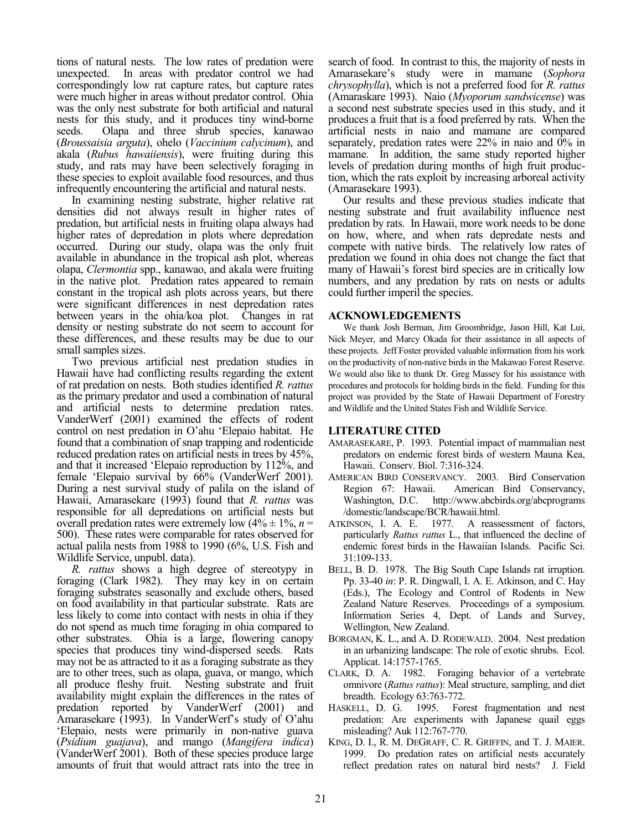tions of natural nests. The low rates of predation were unexpected. In areas with predator control we had correspondingly low rat capture rates, but capture rates were much higher in areas without predator control. Ohia was the only nest substrate for both artificial and natural nests for this study, and it produces tiny wind-borne seeds. Olapa and three shrub species, kanawao (*Broussaisia arguta*), ohelo (*Vaccinium calycinum*), and akala (*Rubus hawaiiensis*), were fruiting during this study, and rats may have been selectively foraging in these species to exploit available food resources, and thus infrequently encountering the artificial and natural nests.

In examining nesting substrate, higher relative rat densities did not always result in higher rates of predation, but artificial nests in fruiting olapa always had higher rates of depredation in plots where depredation occurred. During our study, olapa was the only fruit available in abundance in the tropical ash plot, whereas olapa, *Clermontia* spp., kanawao, and akala were fruiting in the native plot. Predation rates appeared to remain constant in the tropical ash plots across years, but there were significant differences in nest depredation rates between years in the ohia/koa plot. Changes in rat density or nesting substrate do not seem to account for these differences, and these results may be due to our small samples sizes.

Two previous artificial nest predation studies in Hawaii have had conflicting results regarding the extent of rat predation on nests. Both studies identified *R. rattus* as the primary predator and used a combination of natural and artificial nests to determine predation rates. VanderWerf (2001) examined the effects of rodent control on nest predation in O'ahu 'Elepaio habitat. He found that a combination of snap trapping and rodenticide reduced predation rates on artificial nests in trees by 45%, and that it increased 'Elepaio reproduction by 112%, and female 'Elepaio survival by 66% (VanderWerf 2001). During a nest survival study of palila on the island of Hawaii, Amarasekare (1993) found that *R. rattus* was responsible for all depredations on artificial nests but overall predation rates were extremely low  $(4\% \pm 1\%, n=$ 500). These rates were comparable for rates observed for actual palila nests from 1988 to 1990 (6%, U.S. Fish and Wildlife Service, unpubl. data).

*R. rattus* shows a high degree of stereotypy in foraging (Clark 1982). They may key in on certain foraging substrates seasonally and exclude others, based on food availability in that particular substrate. Rats are less likely to come into contact with nests in ohia if they do not spend as much time foraging in ohia compared to other substrates. Ohia is a large, flowering canopy species that produces tiny wind-dispersed seeds. Rats may not be as attracted to it as a foraging substrate as they are to other trees, such as olapa, guava, or mango, which all produce fleshy fruit. Nesting substrate and fruit availability might explain the differences in the rates of predation reported by VanderWerf (2001) and Amarasekare (1993). In VanderWerf's study of O'ahu 'Elepaio, nests were primarily in non-native guava (*Psidium guajava*), and mango (*Mangifera indica*) (VanderWerf 2001). Both of these species produce large amounts of fruit that would attract rats into the tree in

search of food. In contrast to this, the majority of nests in Amarasekare's study were in mamane (*Sophora chrysophylla*), which is not a preferred food for *R. rattus* (Amaraskare 1993). Naio (*Myoporum sandwicense*) was a second nest substrate species used in this study, and it produces a fruit that is a food preferred by rats. When the artificial nests in naio and mamane are compared separately, predation rates were 22% in naio and 0% in mamane. In addition, the same study reported higher levels of predation during months of high fruit production, which the rats exploit by increasing arboreal activity (Amarasekare 1993).

Our results and these previous studies indicate that nesting substrate and fruit availability influence nest predation by rats. In Hawaii, more work needs to be done on how, where, and when rats depredate nests and compete with native birds. The relatively low rates of predation we found in ohia does not change the fact that many of Hawaii's forest bird species are in critically low numbers, and any predation by rats on nests or adults could further imperil the species.

### **ACKNOWLEDGEMENTS**

We thank Josh Berman, Jim Groombridge, Jason Hill, Kat Lui, Nick Meyer, and Marcy Okada for their assistance in all aspects of these projects. Jeff Foster provided valuable information from his work on the productivity of non-native birds in the Makawao Forest Reserve. We would also like to thank Dr. Greg Massey for his assistance with procedures and protocols for holding birds in the field. Funding for this project was provided by the State of Hawaii Department of Forestry and Wildlife and the United States Fish and Wildlife Service.

#### **LITERATURE CITED**

- AMARASEKARE, P. 1993. Potential impact of mammalian nest predators on endemic forest birds of western Mauna Kea, Hawaii. Conserv. Biol. 7:316-324.
- AMERICAN BIRD CONSERVANCY. 2003. Bird Conservation Region 67: Hawaii. American Bird Conservancy, Washington, D.C. http://www.abcbirds.org/abcprograms /domestic/landscape/BCR/hawaii.html.
- ATKINSON, I. A. E. 1977. A reassessment of factors, particularly *Rattus rattus* L., that influenced the decline of endemic forest birds in the Hawaiian Islands. Pacific Sci. 31:109-133.
- BELL, B. D. 1978. The Big South Cape Islands rat irruption. Pp. 33-40 *in*: P. R. Dingwall, I. A. E. Atkinson, and C. Hay (Eds.), The Ecology and Control of Rodents in New Zealand Nature Reserves. Proceedings of a symposium. Information Series 4, Dept. of Lands and Survey, Wellington, New Zealand.
- BORGMAN, K. L., and A. D. RODEWALD. 2004. Nest predation in an urbanizing landscape: The role of exotic shrubs. Ecol. Applicat. 14:1757-1765.
- CLARK, D. A. 1982. Foraging behavior of a vertebrate omnivore (*Rattus rattus*): Meal structure, sampling, and diet breadth. Ecology 63:763-772.
- HASKELL, D. G. 1995. Forest fragmentation and nest predation: Are experiments with Japanese quail eggs misleading? Auk 112:767-770.
- KING, D. I., R. M. DEGRAFF, C. R. GRIFFIN, and T. J. MAIER. 1999. Do predation rates on artificial nests accurately reflect predation rates on natural bird nests? J. Field